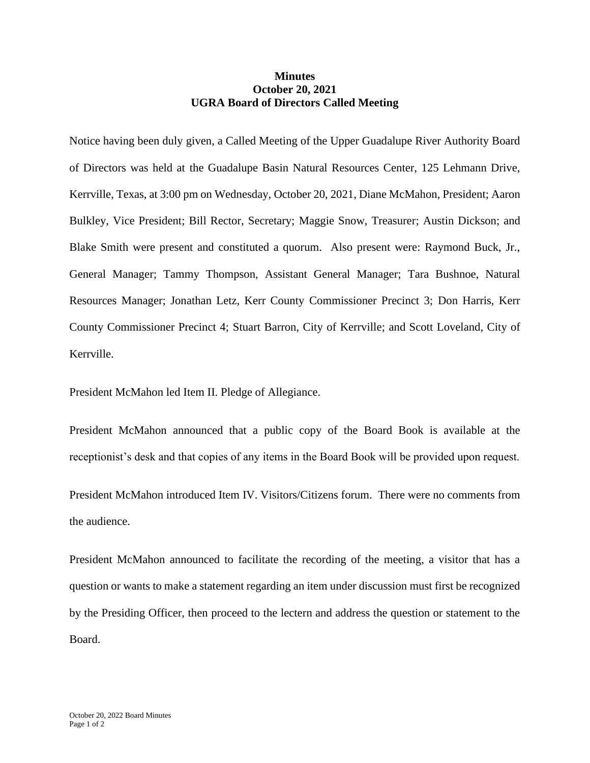## **Minutes October 20, 2021 UGRA Board of Directors Called Meeting**

Notice having been duly given, a Called Meeting of the Upper Guadalupe River Authority Board of Directors was held at the Guadalupe Basin Natural Resources Center, 125 Lehmann Drive, Kerrville, Texas, at 3:00 pm on Wednesday, October 20, 2021, Diane McMahon, President; Aaron Bulkley, Vice President; Bill Rector, Secretary; Maggie Snow, Treasurer; Austin Dickson; and Blake Smith were present and constituted a quorum. Also present were: Raymond Buck, Jr., General Manager; Tammy Thompson, Assistant General Manager; Tara Bushnoe, Natural Resources Manager; Jonathan Letz, Kerr County Commissioner Precinct 3; Don Harris, Kerr County Commissioner Precinct 4; Stuart Barron, City of Kerrville; and Scott Loveland, City of Kerrville.

President McMahon led Item II. Pledge of Allegiance.

President McMahon announced that a public copy of the Board Book is available at the receptionist's desk and that copies of any items in the Board Book will be provided upon request.

President McMahon introduced Item IV. Visitors/Citizens forum. There were no comments from the audience.

President McMahon announced to facilitate the recording of the meeting, a visitor that has a question or wants to make a statement regarding an item under discussion must first be recognized by the Presiding Officer, then proceed to the lectern and address the question or statement to the Board.